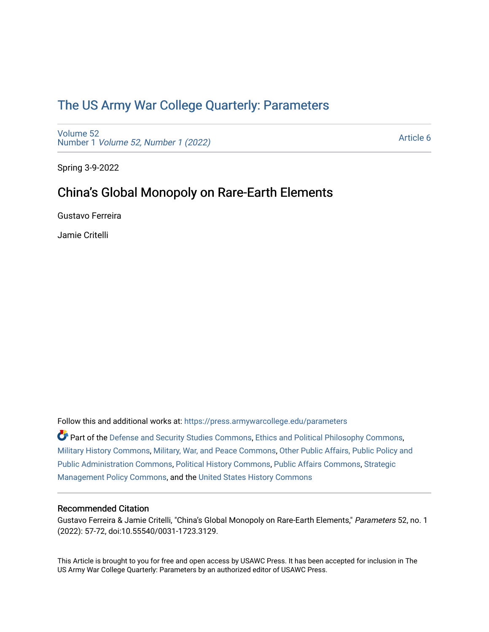# [The US Army War College Quarterly: Parameters](https://press.armywarcollege.edu/parameters)

[Volume 52](https://press.armywarcollege.edu/parameters/vol52) Number 1 [Volume 52, Number 1 \(2022\)](https://press.armywarcollege.edu/parameters/vol52/iss1)

[Article 6](https://press.armywarcollege.edu/parameters/vol52/iss1/6) 

Spring 3-9-2022

# China's Global Monopoly on Rare-Earth Elements

Gustavo Ferreira

Jamie Critelli

Follow this and additional works at: [https://press.armywarcollege.edu/parameters](https://press.armywarcollege.edu/parameters?utm_source=press.armywarcollege.edu%2Fparameters%2Fvol52%2Fiss1%2F6&utm_medium=PDF&utm_campaign=PDFCoverPages) 

Part of the [Defense and Security Studies Commons](http://network.bepress.com/hgg/discipline/394?utm_source=press.armywarcollege.edu%2Fparameters%2Fvol52%2Fiss1%2F6&utm_medium=PDF&utm_campaign=PDFCoverPages), [Ethics and Political Philosophy Commons](http://network.bepress.com/hgg/discipline/529?utm_source=press.armywarcollege.edu%2Fparameters%2Fvol52%2Fiss1%2F6&utm_medium=PDF&utm_campaign=PDFCoverPages), [Military History Commons,](http://network.bepress.com/hgg/discipline/504?utm_source=press.armywarcollege.edu%2Fparameters%2Fvol52%2Fiss1%2F6&utm_medium=PDF&utm_campaign=PDFCoverPages) [Military, War, and Peace Commons,](http://network.bepress.com/hgg/discipline/861?utm_source=press.armywarcollege.edu%2Fparameters%2Fvol52%2Fiss1%2F6&utm_medium=PDF&utm_campaign=PDFCoverPages) [Other Public Affairs, Public Policy and](http://network.bepress.com/hgg/discipline/403?utm_source=press.armywarcollege.edu%2Fparameters%2Fvol52%2Fiss1%2F6&utm_medium=PDF&utm_campaign=PDFCoverPages)  [Public Administration Commons,](http://network.bepress.com/hgg/discipline/403?utm_source=press.armywarcollege.edu%2Fparameters%2Fvol52%2Fiss1%2F6&utm_medium=PDF&utm_campaign=PDFCoverPages) [Political History Commons,](http://network.bepress.com/hgg/discipline/505?utm_source=press.armywarcollege.edu%2Fparameters%2Fvol52%2Fiss1%2F6&utm_medium=PDF&utm_campaign=PDFCoverPages) [Public Affairs Commons,](http://network.bepress.com/hgg/discipline/399?utm_source=press.armywarcollege.edu%2Fparameters%2Fvol52%2Fiss1%2F6&utm_medium=PDF&utm_campaign=PDFCoverPages) [Strategic](http://network.bepress.com/hgg/discipline/642?utm_source=press.armywarcollege.edu%2Fparameters%2Fvol52%2Fiss1%2F6&utm_medium=PDF&utm_campaign=PDFCoverPages)  [Management Policy Commons,](http://network.bepress.com/hgg/discipline/642?utm_source=press.armywarcollege.edu%2Fparameters%2Fvol52%2Fiss1%2F6&utm_medium=PDF&utm_campaign=PDFCoverPages) and the [United States History Commons](http://network.bepress.com/hgg/discipline/495?utm_source=press.armywarcollege.edu%2Fparameters%2Fvol52%2Fiss1%2F6&utm_medium=PDF&utm_campaign=PDFCoverPages)

## Recommended Citation

Gustavo Ferreira & Jamie Critelli, "China's Global Monopoly on Rare-Earth Elements," Parameters 52, no. 1 (2022): 57-72, doi:10.55540/0031-1723.3129.

This Article is brought to you for free and open access by USAWC Press. It has been accepted for inclusion in The US Army War College Quarterly: Parameters by an authorized editor of USAWC Press.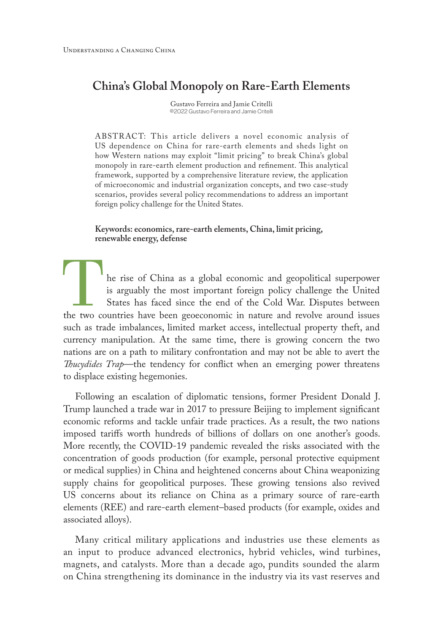## **China's Global Monopoly on Rare-Earth Elements**

Gustavo Ferreira and Jamie Critelli ©2022 Gustavo Ferreira and Jamie Critelli

ABSTR ACT: This article delivers a novel economic analysis of US dependence on China for rare-earth elements and sheds light on how Western nations may exploit "limit pricing" to break China's global monopoly in rare-earth element production and refinement. This analytical framework, supported by a comprehensive literature review, the application of microeconomic and industrial organization concepts, and two case-study scenarios, provides several policy recommendations to address an important foreign policy challenge for the United States.

**Keywords: economics, rare-earth elements, China, limit pricing, renewable energy, defense**

he rise of China as a global economic and geopolitical superpower is arguably the most important foreign policy challenge the United States has faced since the end of the Cold War. Disputes between the two countries have been geoeconomic in nature and revolve around issues such as trade imbalances, limited market access, intellectual property theft, and currency manipulation. At the same time, there is growing concern the two nations are on a path to military confrontation and may not be able to avert the *Thucydides Trap*—the tendency for conflict when an emerging power threatens to displace existing hegemonies.

Following an escalation of diplomatic tensions, former President Donald J. Trump launched a trade war in 2017 to pressure Beijing to implement significant economic reforms and tackle unfair trade practices. As a result, the two nations imposed tariffs worth hundreds of billions of dollars on one another's goods. More recently, the COVID-19 pandemic revealed the risks associated with the concentration of goods production (for example, personal protective equipment or medical supplies) in China and heightened concerns about China weaponizing supply chains for geopolitical purposes. These growing tensions also revived US concerns about its reliance on China as a primary source of rare-earth elements (REE) and rare-earth element–based products (for example, oxides and associated alloys).

Many critical military applications and industries use these elements as an input to produce advanced electronics, hybrid vehicles, wind turbines, magnets, and catalysts. More than a decade ago, pundits sounded the alarm on China strengthening its dominance in the industry via its vast reserves and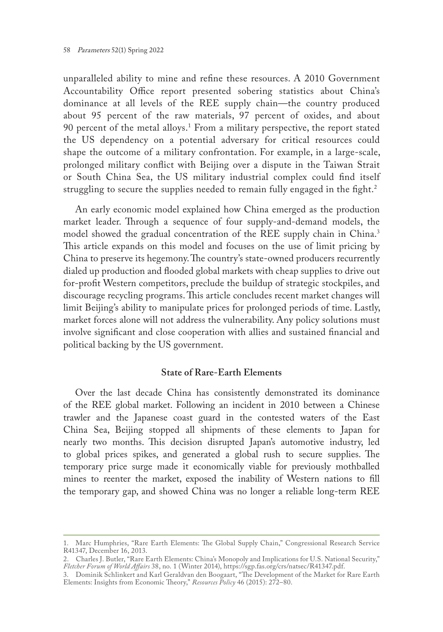unparalleled ability to mine and refine these resources. A 2010 Government Accountability Office report presented sobering statistics about China's dominance at all levels of the REE supply chain—the country produced about 95 percent of the raw materials, 97 percent of oxides, and about 90 percent of the metal alloys.1 From a military perspective, the report stated the US dependency on a potential adversary for critical resources could shape the outcome of a military confrontation. For example, in a large-scale, prolonged military conflict with Beijing over a dispute in the Taiwan Strait or South China Sea, the US military industrial complex could find itself struggling to secure the supplies needed to remain fully engaged in the fight.<sup>2</sup>

An early economic model explained how China emerged as the production market leader. Through a sequence of four supply-and-demand models, the model showed the gradual concentration of the REE supply chain in China.3 This article expands on this model and focuses on the use of limit pricing by China to preserve its hegemony. The country's state-owned producers recurrently dialed up production and flooded global markets with cheap supplies to drive out for-profit Western competitors, preclude the buildup of strategic stockpiles, and discourage recycling programs. This article concludes recent market changes will limit Beijing's ability to manipulate prices for prolonged periods of time. Lastly, market forces alone will not address the vulnerability. Any policy solutions must involve significant and close cooperation with allies and sustained financial and political backing by the US government.

## **State of Rare-Earth Elements**

Over the last decade China has consistently demonstrated its dominance of the REE global market. Following an incident in 2010 between a Chinese trawler and the Japanese coast guard in the contested waters of the East China Sea, Beijing stopped all shipments of these elements to Japan for nearly two months. This decision disrupted Japan's automotive industry, led to global prices spikes, and generated a global rush to secure supplies. The temporary price surge made it economically viable for previously mothballed mines to reenter the market, exposed the inability of Western nations to fill the temporary gap, and showed China was no longer a reliable long-term REE

<sup>1.</sup> Marc Humphries, "Rare Earth Elements: The Global Supply Chain," Congressional Research Service R41347, December 16, 2013.

<sup>2.</sup> Charles J. Butler, "Rare Earth Elements: China's Monopoly and Implications for U.S. National Security," *Fletcher Forum of World Affairs* 38, no. 1 (Winter 2014), https://sgp.fas.org/crs/natsec/R41347.pdf.

<sup>3.</sup> Dominik Schlinkert and Karl Geraldvan den Boogaart, "The Development of the Market for Rare Earth Elements: Insights from Economic Theory," *Resources Policy* 46 (2015): 272–80.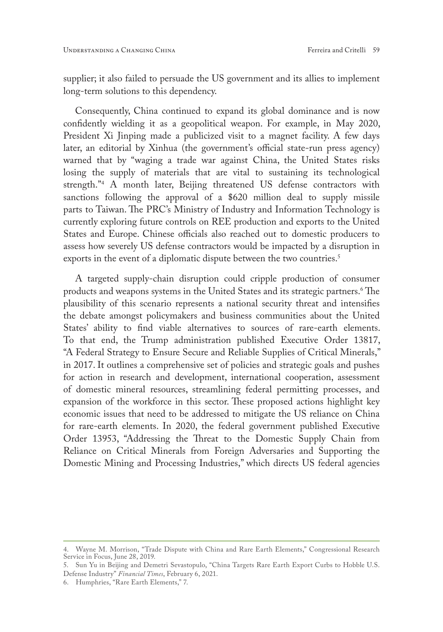supplier; it also failed to persuade the US government and its allies to implement long-term solutions to this dependency.

Consequently, China continued to expand its global dominance and is now confidently wielding it as a geopolitical weapon. For example, in May 2020, President Xi Jinping made a publicized visit to a magnet facility. A few days later, an editorial by Xinhua (the government's official state-run press agency) warned that by "waging a trade war against China, the United States risks losing the supply of materials that are vital to sustaining its technological strength."4 A month later, Beijing threatened US defense contractors with sanctions following the approval of a \$620 million deal to supply missile parts to Taiwan. The PRC's Ministry of Industry and Information Technology is currently exploring future controls on REE production and exports to the United States and Europe. Chinese officials also reached out to domestic producers to assess how severely US defense contractors would be impacted by a disruption in exports in the event of a diplomatic dispute between the two countries.<sup>5</sup>

A targeted supply-chain disruption could cripple production of consumer products and weapons systems in the United States and its strategic partners.<sup>6</sup> The plausibility of this scenario represents a national security threat and intensifies the debate amongst policymakers and business communities about the United States' ability to find viable alternatives to sources of rare-earth elements. To that end, the Trump administration published Executive Order 13817, "A Federal Strategy to Ensure Secure and Reliable Supplies of Critical Minerals," in 2017. It outlines a comprehensive set of policies and strategic goals and pushes for action in research and development, international cooperation, assessment of domestic mineral resources, streamlining federal permitting processes, and expansion of the workforce in this sector. These proposed actions highlight key economic issues that need to be addressed to mitigate the US reliance on China for rare-earth elements. In 2020, the federal government published Executive Order 13953, "Addressing the Threat to the Domestic Supply Chain from Reliance on Critical Minerals from Foreign Adversaries and Supporting the Domestic Mining and Processing Industries," which directs US federal agencies

6. Humphries, "Rare Earth Elements," 7.

<sup>4.</sup> Wayne M. Morrison, "Trade Dispute with China and Rare Earth Elements," Congressional Research Service in Focus, June 28, 2019.

<sup>5.</sup> Sun Yu in Beijing and Demetri Sevastopulo, "China Targets Rare Earth Export Curbs to Hobble U.S. Defense Industry" *Financial Times*, February 6, 2021.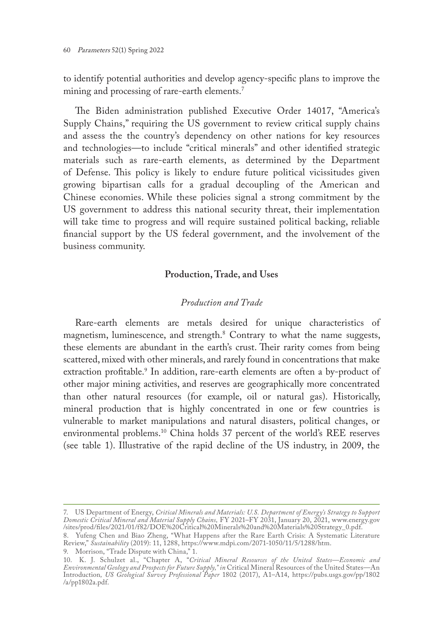to identify potential authorities and develop agency-specific plans to improve the mining and processing of rare-earth elements.<sup>7</sup>

The Biden administration published Executive Order 14017, "America's Supply Chains," requiring the US government to review critical supply chains and assess the the country's dependency on other nations for key resources and technologies—to include "critical minerals" and other identified strategic materials such as rare-earth elements, as determined by the Department of Defense. This policy is likely to endure future political vicissitudes given growing bipartisan calls for a gradual decoupling of the American and Chinese economies. While these policies signal a strong commitment by the US government to address this national security threat, their implementation will take time to progress and will require sustained political backing, reliable financial support by the US federal government, and the involvement of the business community.

## **Production, Trade, and Uses**

## *Production and Trade*

Rare-earth elements are metals desired for unique characteristics of magnetism, luminescence, and strength.8 Contrary to what the name suggests, these elements are abundant in the earth's crust. Their rarity comes from being scattered, mixed with other minerals, and rarely found in concentrations that make extraction profitable.<sup>9</sup> In addition, rare-earth elements are often a by-product of other major mining activities, and reserves are geographically more concentrated than other natural resources (for example, oil or natural gas). Historically, mineral production that is highly concentrated in one or few countries is vulnerable to market manipulations and natural disasters, political changes, or environmental problems.10 China holds 37 percent of the world's REE reserves (see table 1). Illustrative of the rapid decline of the US industry, in 2009, the

<sup>7.</sup> US Department of Energy, *Critical Minerals and Materials: U.S. Department of Energy's Strategy to Support Domestic Critical Mineral and Material Supply Chains,* FY 2021–FY 2031, January 20, 2021, www.energy.gov /sites/prod/files/2021/01/f82/DOE%20Critical%20Minerals%20and%20Materials%20Strategy\_0.pdf.

<sup>8.</sup> Yufeng Chen and Biao Zheng, "What Happens after the Rare Earth Crisis: A Systematic Literature Review," *Sustainability* (2019): 11, 1288, https://www.mdpi.com/2071-1050/11/5/1288/htm.

<sup>9.</sup> Morrison, "Trade Dispute with China," 1.

<sup>10.</sup> K. J. Schulzet al., "Chapter A, "*Critical Mineral Resources of the United States—Economic and Environmental Geology and Prospects for Future Supply," in* Critical Mineral Resources of the United States—An Introduction*, US Geological Survey Professional Paper* 1802 (2017), A1–A14, https://pubs.usgs.gov/pp/1802 /a/pp1802a.pdf.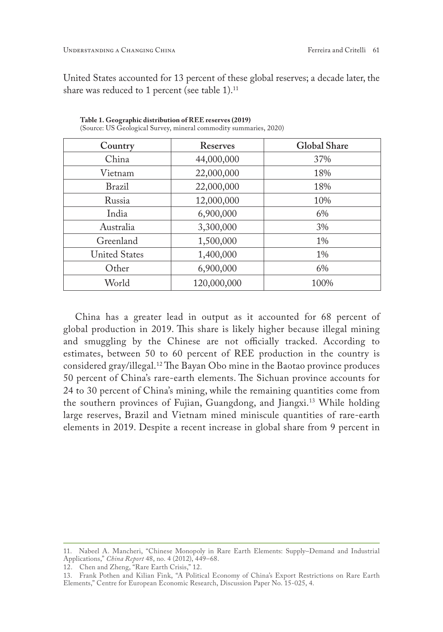United States accounted for 13 percent of these global reserves; a decade later, the share was reduced to 1 percent (see table 1).<sup>11</sup>

| Country              | Reserves    | <b>Global Share</b> |
|----------------------|-------------|---------------------|
| China                | 44,000,000  | 37%                 |
| Vietnam              | 22,000,000  | 18%                 |
| Brazil               | 22,000,000  | 18%                 |
| Russia               | 12,000,000  | 10\%                |
| India                | 6,900,000   | 6%                  |
| Australia            | 3,300,000   | 3%                  |
| Greenland            | 1,500,000   | 1%                  |
| <b>United States</b> | 1,400,000   | $1\%$               |
| Other                | 6,900,000   | 6%                  |
| World                | 120,000,000 | 100%                |

**Table 1. Geographic distribution of REE reserves (2019)** 

(Source: US Geological Survey, mineral commodity summaries, 2020)

China has a greater lead in output as it accounted for 68 percent of global production in 2019. This share is likely higher because illegal mining and smuggling by the Chinese are not officially tracked. According to estimates, between 50 to 60 percent of REE production in the country is considered gray/illegal.12 The Bayan Obo mine in the Baotao province produces 50 percent of China's rare-earth elements. The Sichuan province accounts for 24 to 30 percent of China's mining, while the remaining quantities come from the southern provinces of Fujian, Guangdong, and Jiangxi.13 While holding large reserves, Brazil and Vietnam mined miniscule quantities of rare-earth elements in 2019. Despite a recent increase in global share from 9 percent in

12. Chen and Zheng, "Rare Earth Crisis," 12.

<sup>11.</sup> Nabeel A. Mancheri, "Chinese Monopoly in Rare Earth Elements: Supply–Demand and Industrial Applications," *China Report* 48, no. 4 (2012), 449–68.

<sup>13.</sup> Frank Pothen and Kilian Fink, "A Political Economy of China's Export Restrictions on Rare Earth Elements," Centre for European Economic Research, Discussion Paper No. 15-025, 4.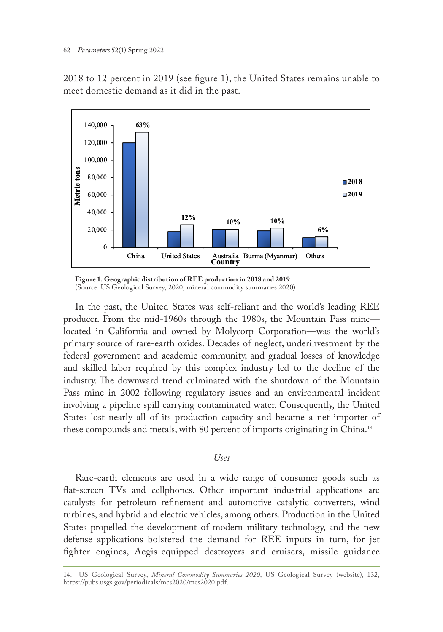2018 to 12 percent in 2019 (see figure 1), the United States remains unable to meet domestic demand as it did in the past.



**Figure 1. Geographic distribution of REE production in 2018 and 2019** (Source: US Geological Survey, 2020, mineral commodity summaries 2020)

In the past, the United States was self-reliant and the world's leading REE producer. From the mid-1960s through the 1980s, the Mountain Pass mine located in California and owned by Molycorp Corporation—was the world's primary source of rare-earth oxides. Decades of neglect, underinvestment by the federal government and academic community, and gradual losses of knowledge and skilled labor required by this complex industry led to the decline of the industry. The downward trend culminated with the shutdown of the Mountain Pass mine in 2002 following regulatory issues and an environmental incident involving a pipeline spill carrying contaminated water. Consequently, the United States lost nearly all of its production capacity and became a net importer of these compounds and metals, with 80 percent of imports originating in China.14

### *Uses*

Rare-earth elements are used in a wide range of consumer goods such as flat-screen TVs and cellphones. Other important industrial applications are catalysts for petroleum refinement and automotive catalytic converters, wind turbines, and hybrid and electric vehicles, among others. Production in the United States propelled the development of modern military technology, and the new defense applications bolstered the demand for REE inputs in turn, for jet fighter engines, Aegis-equipped destroyers and cruisers, missile guidance

<sup>14.</sup> US Geological Survey, *Mineral Commodity Summaries 2020*, US Geological Survey (website), 132, https://pubs.usgs.gov/periodicals/mcs2020/mcs2020.pdf.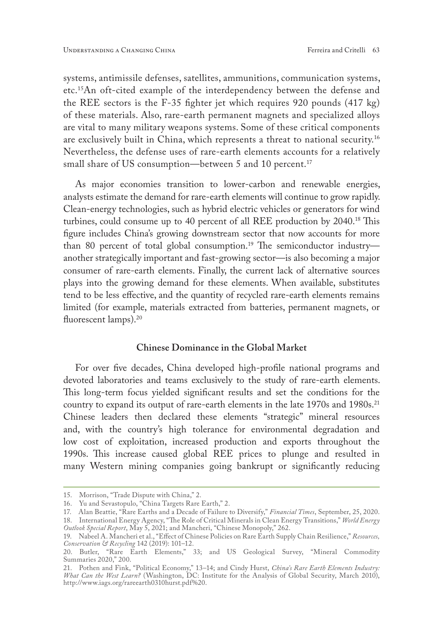systems, antimissile defenses, satellites, ammunitions, communication systems, etc.15An oft-cited example of the interdependency between the defense and the REE sectors is the F-35 fighter jet which requires 920 pounds (417 kg) of these materials. Also, rare-earth permanent magnets and specialized alloys are vital to many military weapons systems. Some of these critical components are exclusively built in China, which represents a threat to national security.16 Nevertheless, the defense uses of rare-earth elements accounts for a relatively small share of US consumption—between 5 and 10 percent.<sup>17</sup>

As major economies transition to lower-carbon and renewable energies, analysts estimate the demand for rare-earth elements will continue to grow rapidly. Clean-energy technologies, such as hybrid electric vehicles or generators for wind turbines, could consume up to 40 percent of all REE production by 2040.18 This figure includes China's growing downstream sector that now accounts for more than 80 percent of total global consumption.<sup>19</sup> The semiconductor industryanother strategically important and fast-growing sector—is also becoming a major consumer of rare-earth elements. Finally, the current lack of alternative sources plays into the growing demand for these elements. When available, substitutes tend to be less effective, and the quantity of recycled rare-earth elements remains limited (for example, materials extracted from batteries, permanent magnets, or fluorescent lamps).<sup>20</sup>

### **Chinese Dominance in the Global Market**

For over five decades, China developed high-profile national programs and devoted laboratories and teams exclusively to the study of rare-earth elements. This long-term focus yielded significant results and set the conditions for the country to expand its output of rare-earth elements in the late 1970s and 1980s.<sup>21</sup> Chinese leaders then declared these elements "strategic" mineral resources and, with the country's high tolerance for environmental degradation and low cost of exploitation, increased production and exports throughout the 1990s. This increase caused global REE prices to plunge and resulted in many Western mining companies going bankrupt or significantly reducing

<sup>15.</sup> Morrison, "Trade Dispute with China," 2.

<sup>16.</sup> Yu and Sevastopulo, "China Targets Rare Earth," 2.

<sup>17.</sup> Alan Beattie, "Rare Earths and a Decade of Failure to Diversify," *Financial Times*, September, 25, 2020.

<sup>18.</sup> International Energy Agency, "The Role of Critical Minerals in Clean Energy Transitions," *World Energy* 

*Outlook Special Report*, May 5, 2021; and Mancheri, "Chinese Monopoly," 262. 19. Nabeel A. Mancheri et al., "Effect of Chinese Policies on Rare Earth Supply Chain Resilience," *Resources, Conservation & Recycling* 142 (2019): 101–12.

<sup>20.</sup> Butler, "Rare Earth Elements," 33; and US Geological Survey, "Mineral Commodity Summaries 2020," 200.

<sup>21.</sup> Pothen and Fink, "Political Economy," 13–14; and Cindy Hurst, *China's Rare Earth Elements Industry: What Can the West Learn?* (Washington, DC: Institute for the Analysis of Global Security, March 2010), http://www.iags.org/rareearth0310hurst.pdf%20.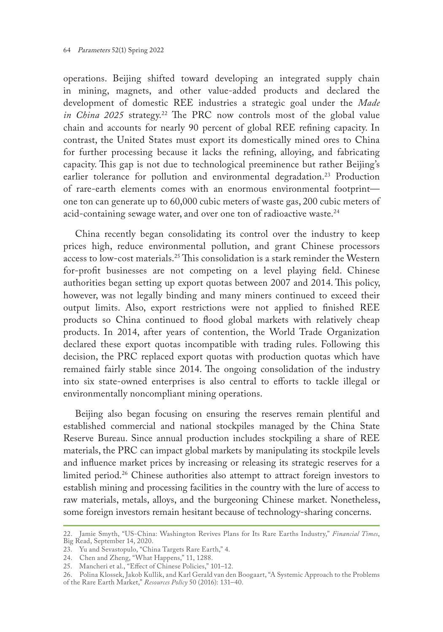operations. Beijing shifted toward developing an integrated supply chain in mining, magnets, and other value-added products and declared the development of domestic REE industries a strategic goal under the *Made in China 2025* strategy.<sup>22</sup> The PRC now controls most of the global value chain and accounts for nearly 90 percent of global REE refining capacity. In contrast, the United States must export its domestically mined ores to China for further processing because it lacks the refining, alloying, and fabricating capacity. This gap is not due to technological preeminence but rather Beijing's earlier tolerance for pollution and environmental degradation.<sup>23</sup> Production of rare-earth elements comes with an enormous environmental footprint one ton can generate up to 60,000 cubic meters of waste gas, 200 cubic meters of acid-containing sewage water, and over one ton of radioactive waste.<sup>24</sup>

China recently began consolidating its control over the industry to keep prices high, reduce environmental pollution, and grant Chinese processors access to low-cost materials.25 This consolidation is a stark reminder the Western for-profit businesses are not competing on a level playing field. Chinese authorities began setting up export quotas between 2007 and 2014. This policy, however, was not legally binding and many miners continued to exceed their output limits. Also, export restrictions were not applied to finished REE products so China continued to flood global markets with relatively cheap products. In 2014, after years of contention, the World Trade Organization declared these export quotas incompatible with trading rules. Following this decision, the PRC replaced export quotas with production quotas which have remained fairly stable since 2014. The ongoing consolidation of the industry into six state-owned enterprises is also central to efforts to tackle illegal or environmentally noncompliant mining operations.

Beijing also began focusing on ensuring the reserves remain plentiful and established commercial and national stockpiles managed by the China State Reserve Bureau. Since annual production includes stockpiling a share of REE materials, the PRC can impact global markets by manipulating its stockpile levels and influence market prices by increasing or releasing its strategic reserves for a limited period.<sup>26</sup> Chinese authorities also attempt to attract foreign investors to establish mining and processing facilities in the country with the lure of access to raw materials, metals, alloys, and the burgeoning Chinese market. Nonetheless, some foreign investors remain hesitant because of technology-sharing concerns.

<sup>22.</sup> Jamie Smyth, "US-China: Washington Revives Plans for Its Rare Earths Industry," *Financial Times*, Big Read, September 14, 2020.

<sup>23.</sup> Yu and Sevastopulo, "China Targets Rare Earth," 4.

<sup>24.</sup> Chen and Zheng, "What Happens," 11, 1288.

<sup>25.</sup> Mancheri et al., "Effect of Chinese Policies," 101–12.

<sup>26.</sup> Polina Klossek, Jakob Kullik, and Karl Gerald van den Boogaart, "A Systemic Approach to the Problems of the Rare Earth Market," *Resources Policy* 50 (2016): 131–40.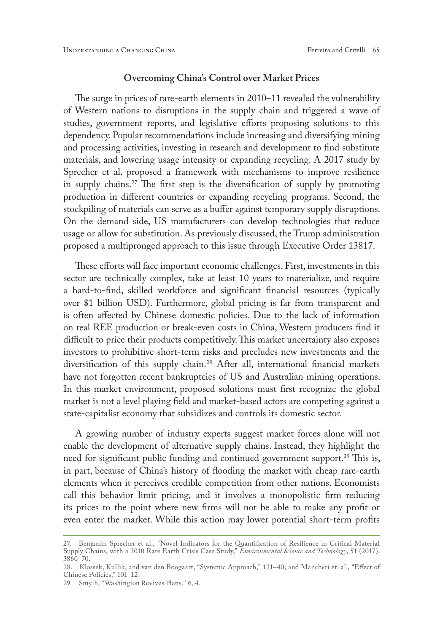#### **Overcoming China's Control over Market Prices**

The surge in prices of rare-earth elements in 2010–11 revealed the vulnerability of Western nations to disruptions in the supply chain and triggered a wave of studies, government reports, and legislative efforts proposing solutions to this dependency. Popular recommendations include increasing and diversifying mining and processing activities, investing in research and development to find substitute materials, and lowering usage intensity or expanding recycling. A 2017 study by Sprecher et al. proposed a framework with mechanisms to improve resilience in supply chains.27 The first step is the diversification of supply by promoting production in different countries or expanding recycling programs. Second, the stockpiling of materials can serve as a buffer against temporary supply disruptions. On the demand side, US manufacturers can develop technologies that reduce usage or allow for substitution. As previously discussed, the Trump administration proposed a multipronged approach to this issue through Executive Order 13817.

These efforts will face important economic challenges. First, investments in this sector are technically complex, take at least 10 years to materialize, and require a hard-to-find, skilled workforce and significant financial resources (typically over \$1 billion USD). Furthermore, global pricing is far from transparent and is often affected by Chinese domestic policies. Due to the lack of information on real REE production or break-even costs in China, Western producers find it difficult to price their products competitively. This market uncertainty also exposes investors to prohibitive short-term risks and precludes new investments and the diversification of this supply chain.28 After all, international financial markets have not forgotten recent bankruptcies of US and Australian mining operations. In this market environment, proposed solutions must first recognize the global market is not a level playing field and market-based actors are competing against a state-capitalist economy that subsidizes and controls its domestic sector.

A growing number of industry experts suggest market forces alone will not enable the development of alternative supply chains. Instead, they highlight the need for significant public funding and continued government support.<sup>29</sup> This is, in part, because of China's history of flooding the market with cheap rare-earth elements when it perceives credible competition from other nations. Economists call this behavior limit pricing*,* and it involves a monopolistic firm reducing its prices to the point where new firms will not be able to make any profit or even enter the market. While this action may lower potential short-term profits

<sup>27.</sup> Benjamin Sprecher et al., "Novel Indicators for the Quantification of Resilience in Critical Material Supply Chains, with a 2010 Rare Earth Crisis Case Study," *Environmental Science and Technology*, 51 (2017), 3860–70.

<sup>28.</sup> Klossek, Kullik, and van den Boogaart, "Systemic Approach," 131–40; and Mancheri et. al., "Effect of Chinese Policies," 101–12.

<sup>29.</sup> Smyth, "Washington Revives Plans," 6, 4.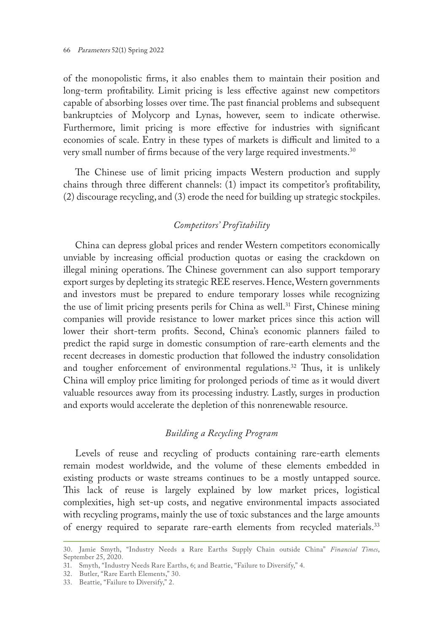of the monopolistic firms, it also enables them to maintain their position and long-term profitability. Limit pricing is less effective against new competitors capable of absorbing losses over time. The past financial problems and subsequent bankruptcies of Molycorp and Lynas, however, seem to indicate otherwise. Furthermore, limit pricing is more effective for industries with significant economies of scale. Entry in these types of markets is difficult and limited to a very small number of firms because of the very large required investments.<sup>30</sup>

The Chinese use of limit pricing impacts Western production and supply chains through three different channels: (1) impact its competitor's profitability, (2) discourage recycling, and (3) erode the need for building up strategic stockpiles.

## *Competitors' Profitability*

China can depress global prices and render Western competitors economically unviable by increasing official production quotas or easing the crackdown on illegal mining operations. The Chinese government can also support temporary export surges by depleting its strategic REE reserves. Hence, Western governments and investors must be prepared to endure temporary losses while recognizing the use of limit pricing presents perils for China as well.<sup>31</sup> First, Chinese mining companies will provide resistance to lower market prices since this action will lower their short-term profits. Second, China's economic planners failed to predict the rapid surge in domestic consumption of rare-earth elements and the recent decreases in domestic production that followed the industry consolidation and tougher enforcement of environmental regulations.<sup>32</sup> Thus, it is unlikely China will employ price limiting for prolonged periods of time as it would divert valuable resources away from its processing industry. Lastly, surges in production and exports would accelerate the depletion of this nonrenewable resource.

## *Building a Recycling Program*

Levels of reuse and recycling of products containing rare-earth elements remain modest worldwide, and the volume of these elements embedded in existing products or waste streams continues to be a mostly untapped source. This lack of reuse is largely explained by low market prices, logistical complexities, high set-up costs, and negative environmental impacts associated with recycling programs, mainly the use of toxic substances and the large amounts of energy required to separate rare-earth elements from recycled materials.<sup>33</sup>

<sup>30.</sup> Jamie Smyth, "Industry Needs a Rare Earths Supply Chain outside China" *Financial Times*, September 25, 2020.

<sup>31.</sup> Smyth, "Industry Needs Rare Earths, 6; and Beattie, "Failure to Diversify," 4.

<sup>32.</sup> Butler, "Rare Earth Elements," 30.

<sup>33.</sup> Beattie, "Failure to Diversify," 2.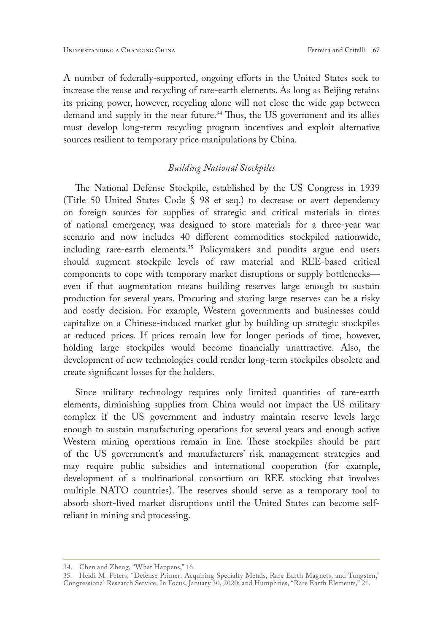A number of federally-supported, ongoing efforts in the United States seek to increase the reuse and recycling of rare-earth elements. As long as Beijing retains its pricing power, however, recycling alone will not close the wide gap between demand and supply in the near future.<sup>34</sup> Thus, the US government and its allies must develop long-term recycling program incentives and exploit alternative sources resilient to temporary price manipulations by China.

## *Building National Stockpiles*

The National Defense Stockpile, established by the US Congress in 1939 (Title 50 United States Code § 98 et seq.) to decrease or avert dependency on foreign sources for supplies of strategic and critical materials in times of national emergency, was designed to store materials for a three-year war scenario and now includes 40 different commodities stockpiled nationwide, including rare-earth elements.<sup>35</sup> Policymakers and pundits argue end users should augment stockpile levels of raw material and REE-based critical components to cope with temporary market disruptions or supply bottlenecks even if that augmentation means building reserves large enough to sustain production for several years. Procuring and storing large reserves can be a risky and costly decision. For example, Western governments and businesses could capitalize on a Chinese-induced market glut by building up strategic stockpiles at reduced prices. If prices remain low for longer periods of time, however, holding large stockpiles would become financially unattractive. Also, the development of new technologies could render long-term stockpiles obsolete and create significant losses for the holders.

Since military technology requires only limited quantities of rare-earth elements, diminishing supplies from China would not impact the US military complex if the US government and industry maintain reserve levels large enough to sustain manufacturing operations for several years and enough active Western mining operations remain in line. These stockpiles should be part of the US government's and manufacturers' risk management strategies and may require public subsidies and international cooperation (for example, development of a multinational consortium on REE stocking that involves multiple NATO countries). The reserves should serve as a temporary tool to absorb short-lived market disruptions until the United States can become selfreliant in mining and processing.

<sup>34.</sup> Chen and Zheng, "What Happens," 16.

<sup>35.</sup> Heidi M. Peters, "Defense Primer: Acquiring Specialty Metals, Rare Earth Magnets, and Tungsten," Congressional Research Service, In Focus, January 30, 2020; and Humphries, "Rare Earth Elements," 21.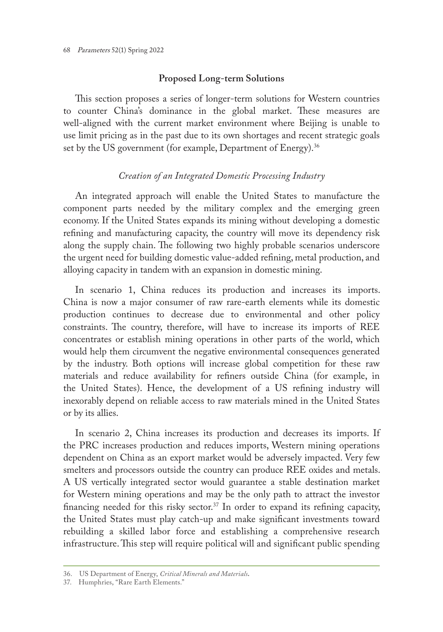## **Proposed Long-term Solutions**

This section proposes a series of longer-term solutions for Western countries to counter China's dominance in the global market. These measures are well-aligned with the current market environment where Beijing is unable to use limit pricing as in the past due to its own shortages and recent strategic goals set by the US government (for example, Department of Energy).<sup>36</sup>

## *Creation of an Integrated Domestic Processing Industry*

An integrated approach will enable the United States to manufacture the component parts needed by the military complex and the emerging green economy. If the United States expands its mining without developing a domestic refining and manufacturing capacity, the country will move its dependency risk along the supply chain. The following two highly probable scenarios underscore the urgent need for building domestic value-added refining, metal production, and alloying capacity in tandem with an expansion in domestic mining.

In scenario 1, China reduces its production and increases its imports. China is now a major consumer of raw rare-earth elements while its domestic production continues to decrease due to environmental and other policy constraints. The country, therefore, will have to increase its imports of REE concentrates or establish mining operations in other parts of the world, which would help them circumvent the negative environmental consequences generated by the industry. Both options will increase global competition for these raw materials and reduce availability for refiners outside China (for example, in the United States). Hence, the development of a US refining industry will inexorably depend on reliable access to raw materials mined in the United States or by its allies.

In scenario 2, China increases its production and decreases its imports. If the PRC increases production and reduces imports, Western mining operations dependent on China as an export market would be adversely impacted. Very few smelters and processors outside the country can produce REE oxides and metals. A US vertically integrated sector would guarantee a stable destination market for Western mining operations and may be the only path to attract the investor financing needed for this risky sector.<sup>37</sup> In order to expand its refining capacity, the United States must play catch-up and make significant investments toward rebuilding a skilled labor force and establishing a comprehensive research infrastructure. This step will require political will and significant public spending

<sup>36.</sup> US Department of Energy, *Critical Minerals and Materials.*

<sup>37.</sup> Humphries, "Rare Earth Elements."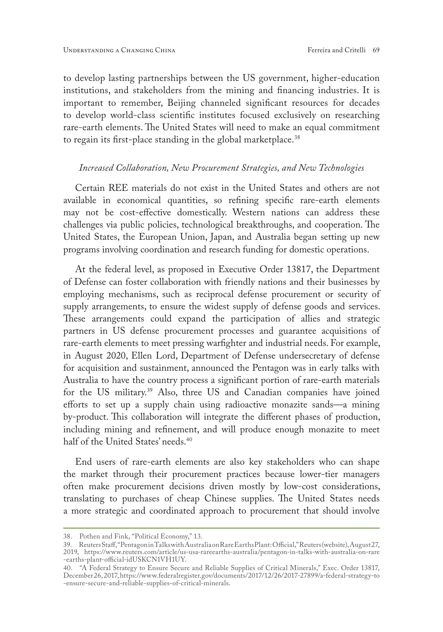to develop lasting partnerships between the US government, higher-education institutions, and stakeholders from the mining and financing industries. It is important to remember, Beijing channeled significant resources for decades to develop world-class scientific institutes focused exclusively on researching rare-earth elements. The United States will need to make an equal commitment to regain its first-place standing in the global marketplace.<sup>38</sup>

### *Increased Collaboration, New Procurement Strategies, and New Technologies*

Certain REE materials do not exist in the United States and others are not available in economical quantities, so refining specific rare-earth elements may not be cost-effective domestically. Western nations can address these challenges via public policies, technological breakthroughs, and cooperation. The United States, the European Union, Japan, and Australia began setting up new programs involving coordination and research funding for domestic operations.

At the federal level, as proposed in Executive Order 13817, the Department of Defense can foster collaboration with friendly nations and their businesses by employing mechanisms, such as reciprocal defense procurement or security of supply arrangements, to ensure the widest supply of defense goods and services. These arrangements could expand the participation of allies and strategic partners in US defense procurement processes and guarantee acquisitions of rare-earth elements to meet pressing warfighter and industrial needs. For example, in August 2020, Ellen Lord, Department of Defense undersecretary of defense for acquisition and sustainment, announced the Pentagon was in early talks with Australia to have the country process a significant portion of rare-earth materials for the US military.39 Also, three US and Canadian companies have joined efforts to set up a supply chain using radioactive monazite sands—a mining by-product. This collaboration will integrate the different phases of production, including mining and refinement, and will produce enough monazite to meet half of the United States' needs.<sup>40</sup>

End users of rare-earth elements are also key stakeholders who can shape the market through their procurement practices because lower-tier managers often make procurement decisions driven mostly by low-cost considerations, translating to purchases of cheap Chinese supplies. The United States needs a more strategic and coordinated approach to procurement that should involve

<sup>38.</sup> Pothen and Fink, "Political Economy," 13.

<sup>39.</sup> Reuters Staff, "Pentagon in Talks with Australia on Rare Earths Plant: Official," Reuters (website), August 27, 2019, https://www.reuters.com/article/us-usa-rareearths-australia/pentagon-in-talks-with-australia-on-rare -earths-plant-official-idUSKCN1VH1UY.

<sup>40.</sup> "A Federal Strategy to Ensure Secure and Reliable Supplies of Critical Minerals," Exec. Order 13817, December 26, 2017, https://www.federalregister.gov/documents/2017/12/26/2017-27899/a-federal-strategy-to -ensure-secure-and-reliable-supplies-of-critical-minerals.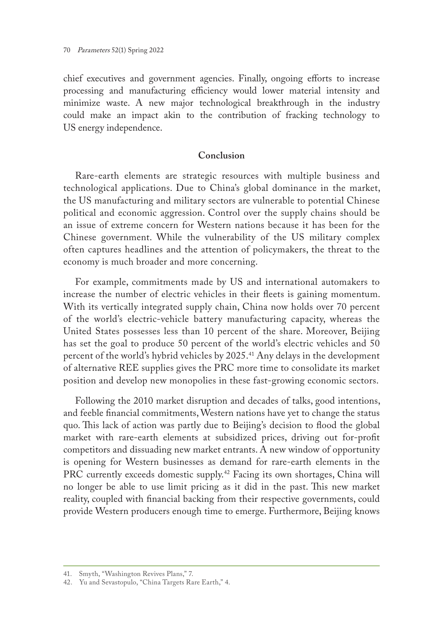chief executives and government agencies. Finally, ongoing efforts to increase processing and manufacturing efficiency would lower material intensity and minimize waste. A new major technological breakthrough in the industry could make an impact akin to the contribution of fracking technology to US energy independence.

## **Conclusion**

Rare-earth elements are strategic resources with multiple business and technological applications. Due to China's global dominance in the market, the US manufacturing and military sectors are vulnerable to potential Chinese political and economic aggression. Control over the supply chains should be an issue of extreme concern for Western nations because it has been for the Chinese government. While the vulnerability of the US military complex often captures headlines and the attention of policymakers, the threat to the economy is much broader and more concerning.

For example, commitments made by US and international automakers to increase the number of electric vehicles in their fleets is gaining momentum. With its vertically integrated supply chain, China now holds over 70 percent of the world's electric-vehicle battery manufacturing capacity, whereas the United States possesses less than 10 percent of the share. Moreover, Beijing has set the goal to produce 50 percent of the world's electric vehicles and 50 percent of the world's hybrid vehicles by 2025.41 Any delays in the development of alternative REE supplies gives the PRC more time to consolidate its market position and develop new monopolies in these fast-growing economic sectors.

Following the 2010 market disruption and decades of talks, good intentions, and feeble financial commitments, Western nations have yet to change the status quo. This lack of action was partly due to Beijing's decision to flood the global market with rare-earth elements at subsidized prices, driving out for-profit competitors and dissuading new market entrants. A new window of opportunity is opening for Western businesses as demand for rare-earth elements in the PRC currently exceeds domestic supply.<sup>42</sup> Facing its own shortages, China will no longer be able to use limit pricing as it did in the past. This new market reality, coupled with financial backing from their respective governments, could provide Western producers enough time to emerge. Furthermore, Beijing knows

<sup>41.</sup> Smyth, "Washington Revives Plans," 7.

<sup>42.</sup> Yu and Sevastopulo, "China Targets Rare Earth," 4.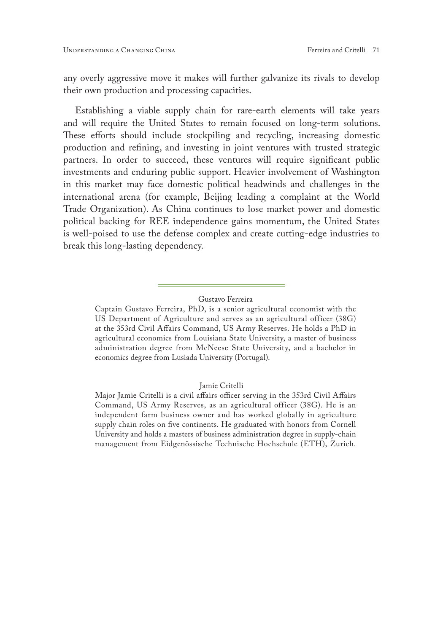any overly aggressive move it makes will further galvanize its rivals to develop their own production and processing capacities.

Establishing a viable supply chain for rare-earth elements will take years and will require the United States to remain focused on long-term solutions. These efforts should include stockpiling and recycling, increasing domestic production and refining, and investing in joint ventures with trusted strategic partners. In order to succeed, these ventures will require significant public investments and enduring public support. Heavier involvement of Washington in this market may face domestic political headwinds and challenges in the international arena (for example, Beijing leading a complaint at the World Trade Organization). As China continues to lose market power and domestic political backing for REE independence gains momentum, the United States is well-poised to use the defense complex and create cutting-edge industries to break this long-lasting dependency.

## Gustavo Ferreira

#### Jamie Critelli

Captain Gustavo Ferreira, PhD, is a senior agricultural economist with the US Department of Agriculture and serves as an agricultural officer (38G) at the 353rd Civil Affairs Command, US Army Reserves. He holds a PhD in agricultural economics from Louisiana State University, a master of business administration degree from McNeese State University, and a bachelor in economics degree from Lusiada University (Portugal).

Major Jamie Critelli is a civil affairs officer serving in the 353rd Civil Affairs Command, US Army Reserves, as an agricultural officer (38G). He is an independent farm business owner and has worked globally in agriculture supply chain roles on five continents. He graduated with honors from Cornell University and holds a masters of business administration degree in supply-chain management from Eidgenössische Technische Hochschule (ETH), Zurich.